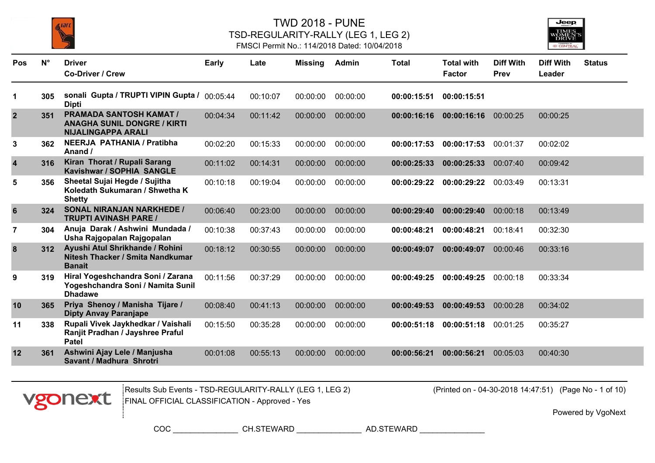



| <b>Pos</b>              | $N^{\circ}$ | <b>Driver</b><br><b>Co-Driver / Crew</b>                                                          | <b>Early</b> | Late     | <b>Missing</b> | Admin    | <b>Total</b> | <b>Total with</b><br><b>Factor</b> | <b>Diff With</b><br><b>Prev</b> | <b>Diff With</b><br>Leader | <b>Status</b> |
|-------------------------|-------------|---------------------------------------------------------------------------------------------------|--------------|----------|----------------|----------|--------------|------------------------------------|---------------------------------|----------------------------|---------------|
| $\mathbf 1$             | 305         | sonali Gupta / TRUPTI VIPIN Gupta /<br><b>Dipti</b>                                               | 00:05:44     | 00:10:07 | 00:00:00       | 00:00:00 | 00:00:15:51  | 00:00:15:51                        |                                 |                            |               |
| $\overline{2}$          | 351         | <b>PRAMADA SANTOSH KAMAT /</b><br><b>ANAGHA SUNIL DONGRE / KIRTI</b><br><b>NIJALINGAPPA ARALI</b> | 00:04:34     | 00:11:42 | 00:00:00       | 00:00:00 | 00:00:16:16  | 00:00:16:16                        | 00:00:25                        | 00:00:25                   |               |
| 3                       | 362         | <b>NEERJA PATHANIA / Pratibha</b><br>Anand /                                                      | 00:02:20     | 00:15:33 | 00:00:00       | 00:00:00 | 00:00:17:53  | 00:00:17:53                        | 00:01:37                        | 00:02:02                   |               |
| $\overline{\mathbf{4}}$ | 316         | Kiran Thorat / Rupali Sarang<br>Kavishwar / SOPHIA SANGLE                                         | 00:11:02     | 00:14:31 | 00:00:00       | 00:00:00 | 00:00:25:33  | 00:00:25:33                        | 00:07:40                        | 00:09:42                   |               |
| 5                       | 356         | Sheetal Sujai Hegde / Sujitha<br>Koledath Sukumaran / Shwetha K<br><b>Shetty</b>                  | 00:10:18     | 00:19:04 | 00:00:00       | 00:00:00 | 00:00:29:22  | 00:00:29:22                        | 00:03:49                        | 00:13:31                   |               |
| $6\phantom{1}6$         | 324         | <b>SONAL NIRANJAN NARKHEDE /</b><br><b>TRUPTI AVINASH PARE /</b>                                  | 00:06:40     | 00:23:00 | 00:00:00       | 00:00:00 | 00:00:29:40  | 00:00:29:40                        | 00:00:18                        | 00:13:49                   |               |
| $\overline{7}$          | 304         | Anuja Darak / Ashwini Mundada /<br>Usha Rajgopalan Rajgopalan                                     | 00:10:38     | 00:37:43 | 00:00:00       | 00:00:00 | 00:00:48:21  | 00:00:48:21                        | 00:18:41                        | 00:32:30                   |               |
| 8                       | 312         | Ayushi Atul Shrikhande / Rohini<br>Nitesh Thacker / Smita Nandkumar<br><b>Banait</b>              | 00:18:12     | 00:30:55 | 00:00:00       | 00:00:00 | 00:00:49:07  | 00:00:49:07                        | 00:00:46                        | 00:33:16                   |               |
| 9                       | 319         | Hiral Yogeshchandra Soni / Zarana<br>Yogeshchandra Soni / Namita Sunil<br><b>Dhadawe</b>          | 00:11:56     | 00:37:29 | 00:00:00       | 00:00:00 | 00:00:49:25  | 00:00:49:25                        | 00:00:18                        | 00:33:34                   |               |
| 10                      | 365         | Priya Shenoy / Manisha Tijare /<br><b>Dipty Anvay Paranjape</b>                                   | 00:08:40     | 00:41:13 | 00:00:00       | 00:00:00 | 00:00:49:53  | 00:00:49:53                        | 00:00:28                        | 00:34:02                   |               |
| 11                      | 338         | Rupali Vivek Jaykhedkar / Vaishali<br>Ranjit Pradhan / Jayshree Praful<br><b>Patel</b>            | 00:15:50     | 00:35:28 | 00:00:00       | 00:00:00 | 00:00:51:18  | 00:00:51:18                        | 00:01:25                        | 00:35:27                   |               |
| 12                      | 361         | Ashwini Ajay Lele / Manjusha<br>Savant / Madhura Shrotri                                          | 00:01:08     | 00:55:13 | 00:00:00       | 00:00:00 | 00:00:56:21  | 00:00:56:21                        | 00:05:03                        | 00:40:30                   |               |



Results Sub Events - TSD-REGULARITY-RALLY (LEG 1, LEG 2) (Printed on - 04-30-2018 14:47:51) FINAL OFFICIAL CLASSIFICATION - Approved - Yes

(Printed on - 04-30-2018 14:47:51) (Page No - 1 of 10)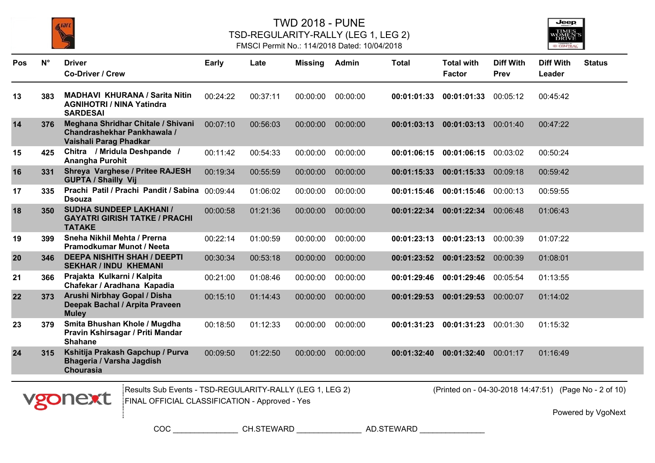

# TWD 2018 - PUNE TSD-REGULARITY-RALLY (LEG 1, LEG 2)



FMSCI Permit No.: 114/2018 Dated: 10/04/2018

| <b>Pos</b> | $N^{\circ}$ | <b>Driver</b><br><b>Co-Driver / Crew</b>                                                     | Early    | Late     | <b>Missing</b> | Admin    | <b>Total</b> | <b>Total with</b><br><b>Factor</b>                     | <b>Diff With</b><br><b>Prev</b> | <b>Diff With</b><br>Leader | <b>Status</b> |
|------------|-------------|----------------------------------------------------------------------------------------------|----------|----------|----------------|----------|--------------|--------------------------------------------------------|---------------------------------|----------------------------|---------------|
| 13         | 383         | <b>MADHAVI KHURANA / Sarita Nitin</b><br><b>AGNIHOTRI / NINA Yatindra</b><br><b>SARDESAI</b> | 00:24:22 | 00:37:11 | 00:00:00       | 00:00:00 | 00:01:01:33  | 00:01:01:33                                            | 00:05:12                        | 00:45:42                   |               |
| 14         | 376         | Meghana Shridhar Chitale / Shivani<br>Chandrashekhar Pankhawala /<br>Vaishali Parag Phadkar  | 00:07:10 | 00:56:03 | 00:00:00       | 00:00:00 | 00:01:03:13  | 00:01:03:13                                            | 00:01:40                        | 00:47:22                   |               |
| 15         | 425         | Chitra / Mridula Deshpande /<br>Anangha Purohit                                              | 00:11:42 | 00:54:33 | 00:00:00       | 00:00:00 | 00:01:06:15  | 00:01:06:15                                            | 00:03:02                        | 00:50:24                   |               |
| 16         | 331         | Shreya Varghese / Pritee RAJESH<br><b>GUPTA / Shailly Vij</b>                                | 00:19:34 | 00:55:59 | 00:00:00       | 00:00:00 | 00:01:15:33  | 00:01:15:33                                            | 00:09:18                        | 00:59:42                   |               |
| 17         | 335         | Prachi Patil / Prachi Pandit / Sabina<br><b>Dsouza</b>                                       | 00:09:44 | 01:06:02 | 00:00:00       | 00:00:00 | 00:01:15:46  | 00:01:15:46                                            | 00:00:13                        | 00:59:55                   |               |
| 18         | 350         | <b>SUDHA SUNDEEP LAKHANI /</b><br><b>GAYATRI GIRISH TATKE / PRACHI</b><br><b>TATAKE</b>      | 00:00:58 | 01:21:36 | 00:00:00       | 00:00:00 | 00:01:22:34  | 00:01:22:34                                            | 00:06:48                        | 01:06:43                   |               |
| 19         | 399         | Sneha Nikhil Mehta / Prerna<br><b>Pramodkumar Munot / Neeta</b>                              | 00:22:14 | 01:00:59 | 00:00:00       | 00:00:00 | 00:01:23:13  | 00:01:23:13                                            | 00:00:39                        | 01:07:22                   |               |
| 20         | 346         | <b>DEEPA NISHITH SHAH / DEEPTI</b><br><b>SEKHAR / INDU KHEMANI</b>                           | 00:30:34 | 00:53:18 | 00:00:00       | 00:00:00 | 00:01:23:52  | 00:01:23:52                                            | 00:00:39                        | 01:08:01                   |               |
| 21         | 366         | Prajakta Kulkarni / Kalpita<br>Chafekar / Aradhana Kapadia                                   | 00:21:00 | 01:08:46 | 00:00:00       | 00:00:00 | 00:01:29:46  | 00:01:29:46                                            | 00:05:54                        | 01:13:55                   |               |
| 22         | 373         | Arushi Nirbhay Gopal / Disha<br>Deepak Bachal / Arpita Praveen<br><b>Muley</b>               | 00:15:10 | 01:14:43 | 00:00:00       | 00:00:00 | 00:01:29:53  | 00:01:29:53                                            | 00:00:07                        | 01:14:02                   |               |
| 23         | 379         | Smita Bhushan Khole / Mugdha<br>Pravin Kshirsagar / Priti Mandar<br><b>Shahane</b>           | 00:18:50 | 01:12:33 | 00:00:00       | 00:00:00 | 00:01:31:23  | 00:01:31:23                                            | 00:01:30                        | 01:15:32                   |               |
| 24         | 315         | Kshitija Prakash Gapchup / Purva<br>Bhageria / Varsha Jagdish<br><b>Chourasia</b>            | 00:09:50 | 01:22:50 | 00:00:00       | 00:00:00 | 00:01:32:40  | 00:01:32:40                                            | 00:01:17                        | 01:16:49                   |               |
|            |             | Results Sub Events - TSD-REGULARITY-RALLY (LEG 1, LEG 2)                                     |          |          |                |          |              | (Printed on - 04-30-2018 14:47:51) (Page No - 2 of 10) |                                 |                            |               |



FINAL OFFICIAL CLASSIFICATION - Approved - Yes

 $(Printed on - 04-30-2018 14:47:51)$   $(Page No - 2 of 10)$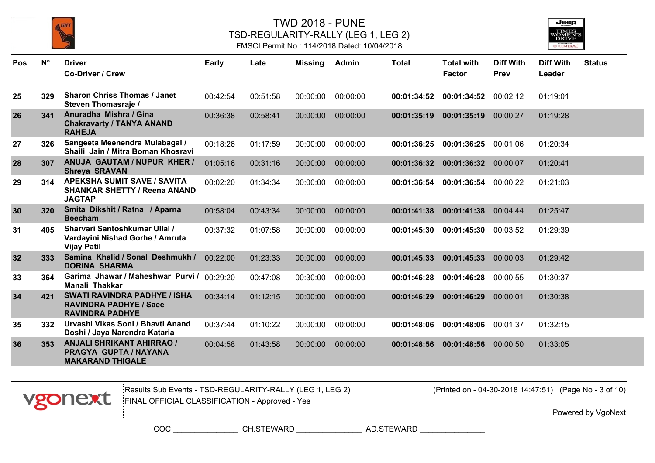



| <b>Pos</b> | $N^{\circ}$ | <b>Driver</b><br><b>Co-Driver / Crew</b>                                                       | <b>Early</b> | Late     | <b>Missing</b> | Admin    | <b>Total</b> | <b>Total with</b><br><b>Factor</b> | <b>Diff With</b><br><b>Prev</b> | <b>Diff With</b><br>Leader | <b>Status</b> |
|------------|-------------|------------------------------------------------------------------------------------------------|--------------|----------|----------------|----------|--------------|------------------------------------|---------------------------------|----------------------------|---------------|
| 25         | 329         | <b>Sharon Chriss Thomas / Janet</b><br>Steven Thomasraje /                                     | 00:42:54     | 00:51:58 | 00:00:00       | 00:00:00 | 00:01:34:52  | 00:01:34:52                        | 00:02:12                        | 01:19:01                   |               |
| 26         | 341         | Anuradha Mishra / Gina<br><b>Chakravarty / TANYA ANAND</b><br><b>RAHEJA</b>                    | 00:36:38     | 00:58:41 | 00:00:00       | 00:00:00 | 00:01:35:19  | 00:01:35:19                        | 00:00:27                        | 01:19:28                   |               |
| 27         | 326         | Sangeeta Meenendra Mulabagal /<br>Shaili Jain / Mitra Boman Khosravi                           | 00:18:26     | 01:17:59 | 00:00:00       | 00:00:00 | 00:01:36:25  | 00:01:36:25                        | 00:01:06                        | 01:20:34                   |               |
| 28         | 307         | ANUJA GAUTAM / NUPUR KHER /<br><b>Shreya SRAVAN</b>                                            | 01:05:16     | 00:31:16 | 00:00:00       | 00:00:00 | 00:01:36:32  | 00:01:36:32                        | 00:00:07                        | 01:20:41                   |               |
| 29         | 314         | <b>APEKSHA SUMIT SAVE / SAVITA</b><br><b>SHANKAR SHETTY / Reena ANAND</b><br><b>JAGTAP</b>     | 00:02:20     | 01:34:34 | 00:00:00       | 00:00:00 | 00:01:36:54  | 00:01:36:54                        | 00:00:22                        | 01:21:03                   |               |
| 30         | 320         | Smita Dikshit / Ratna / Aparna<br><b>Beecham</b>                                               | 00:58:04     | 00:43:34 | 00:00:00       | 00:00:00 | 00:01:41:38  | 00:01:41:38                        | 00:04:44                        | 01:25:47                   |               |
| 31         | 405         | Sharvari Santoshkumar Ullal /<br>Vardayini Nishad Gorhe / Amruta<br><b>Vijay Patil</b>         | 00:37:32     | 01:07:58 | 00:00:00       | 00:00:00 | 00:01:45:30  | 00:01:45:30                        | 00:03:52                        | 01:29:39                   |               |
| 32         | 333         | Samina Khalid / Sonal Deshmukh /<br><b>DORINA SHARMA</b>                                       | 00:22:00     | 01:23:33 | 00:00:00       | 00:00:00 | 00:01:45:33  | 00:01:45:33                        | 00:00:03                        | 01:29:42                   |               |
| 33         | 364         | Garima Jhawar / Maheshwar Purvi /<br><b>Manali Thakkar</b>                                     | 00:29:20     | 00:47:08 | 00:30:00       | 00:00:00 | 00:01:46:28  | 00:01:46:28                        | 00:00:55                        | 01:30:37                   |               |
| 34         | 421         | <b>SWATI RAVINDRA PADHYE / ISHA</b><br><b>RAVINDRA PADHYE / Saee</b><br><b>RAVINDRA PADHYE</b> | 00:34:14     | 01:12:15 | 00:00:00       | 00:00:00 | 00:01:46:29  | 00:01:46:29                        | 00:00:01                        | 01:30:38                   |               |
| 35         | 332         | Urvashi Vikas Soni / Bhavti Anand<br>Doshi / Jaya Narendra Kataria                             | 00:37:44     | 01:10:22 | 00:00:00       | 00:00:00 | 00:01:48:06  | 00:01:48:06                        | 00:01:37                        | 01:32:15                   |               |
| 36         | 353         | <b>ANJALI SHRIKANT AHIRRAO /</b><br><b>PRAGYA GUPTA / NAYANA</b><br><b>MAKARAND THIGALE</b>    | 00:04:58     | 01:43:58 | 00:00:00       | 00:00:00 | 00:01:48:56  | 00:01:48:56                        | 00:00:50                        | 01:33:05                   |               |



Results Sub Events - TSD-REGULARITY-RALLY (LEG 1, LEG 2) (Printed on - 04-30-2018 14:47:51) FINAL OFFICIAL CLASSIFICATION - Approved - Yes

(Printed on - 04-30-2018 14:47:51) (Page No - 3 of 10)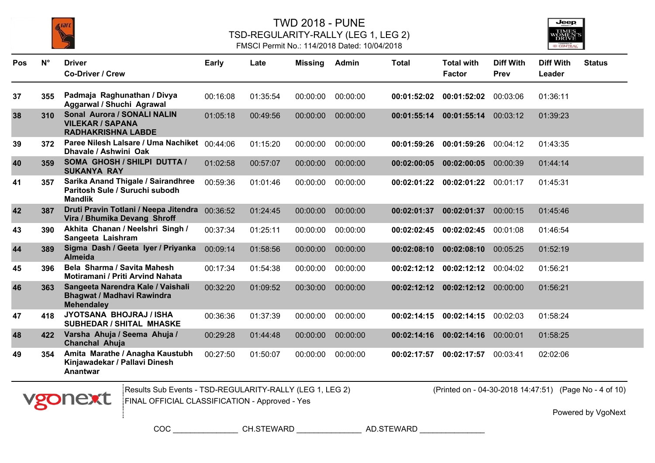



| <b>Pos</b> | $N^{\circ}$ | <b>Driver</b><br><b>Co-Driver / Crew</b>                                                    | <b>Early</b> | Late     | <b>Missing</b> | Admin    | <b>Total</b> | <b>Total with</b><br><b>Factor</b> | <b>Diff With</b><br>Prev | <b>Diff With</b><br>Leader | <b>Status</b> |
|------------|-------------|---------------------------------------------------------------------------------------------|--------------|----------|----------------|----------|--------------|------------------------------------|--------------------------|----------------------------|---------------|
| 37         | 355         | Padmaja Raghunathan / Divya<br>Aggarwal / Shuchi Agrawal                                    | 00:16:08     | 01:35:54 | 00:00:00       | 00:00:00 | 00:01:52:02  | 00:01:52:02                        | 00:03:06                 | 01:36:11                   |               |
| 38         | 310         | Sonal Aurora / SONALI NALIN<br><b>VILEKAR / SAPANA</b><br><b>RADHAKRISHNA LABDE</b>         | 01:05:18     | 00:49:56 | 00:00:00       | 00:00:00 | 00:01:55:14  | 00:01:55:14                        | 00:03:12                 | 01:39:23                   |               |
| 39         | 372         | Paree Nilesh Lalsare / Uma Nachiket<br>Dhavale / Ashwini Oak                                | 00:44:06     | 01:15:20 | 00:00:00       | 00:00:00 | 00:01:59:26  | 00:01:59:26                        | 00:04:12                 | 01:43:35                   |               |
| 40         | 359         | SOMA GHOSH / SHILPI DUTTA /<br><b>SUKANYA RAY</b>                                           | 01:02:58     | 00:57:07 | 00:00:00       | 00:00:00 | 00:02:00:05  | 00:02:00:05                        | 00:00:39                 | 01:44:14                   |               |
| 41         | 357         | Sarika Anand Thigale / Sairandhree<br>Paritosh Sule / Suruchi subodh<br><b>Mandlik</b>      | 00:59:36     | 01:01:46 | 00:00:00       | 00:00:00 | 00:02:01:22  | 00:02:01:22                        | 00:01:17                 | 01:45:31                   |               |
| 42         | 387         | Druti Pravin Totlani / Neepa Jitendra<br>Vira / Bhumika Devang Shroff                       | 00:36:52     | 01:24:45 | 00:00:00       | 00:00:00 | 00:02:01:37  | 00:02:01:37                        | 00:00:15                 | 01:45:46                   |               |
| 43         | 390         | Akhita Chanan / Neelshri Singh /<br>Sangeeta Laishram                                       | 00:37:34     | 01:25:11 | 00:00:00       | 00:00:00 | 00:02:02:45  | 00:02:02:45                        | 00:01:08                 | 01:46:54                   |               |
| 44         | 389         | Sigma Dash / Geeta Iyer / Priyanka<br><b>Almeida</b>                                        | 00:09:14     | 01:58:56 | 00:00:00       | 00:00:00 | 00:02:08:10  | 00:02:08:10                        | 00:05:25                 | 01:52:19                   |               |
| 45         | 396         | Bela Sharma / Savita Mahesh<br>Motiramani / Priti Arvind Nahata                             | 00:17:34     | 01:54:38 | 00:00:00       | 00:00:00 | 00:02:12:12  | 00:02:12:12                        | 00:04:02                 | 01:56:21                   |               |
| 46         | 363         | Sangeeta Narendra Kale / Vaishali<br><b>Bhagwat / Madhavi Rawindra</b><br><b>Mehendaley</b> | 00:32:20     | 01:09:52 | 00:30:00       | 00:00:00 | 00:02:12:12  | 00:02:12:12                        | 00:00:00                 | 01:56:21                   |               |
| 47         | 418         | JYOTSANA BHOJRAJ / ISHA<br><b>SUBHEDAR / SHITAL MHASKE</b>                                  | 00:36:36     | 01:37:39 | 00:00:00       | 00:00:00 | 00:02:14:15  | 00:02:14:15                        | 00:02:03                 | 01:58:24                   |               |
| 48         | 422         | Varsha Ahuja / Seema Ahuja /<br><b>Chanchal Ahuja</b>                                       | 00:29:28     | 01:44:48 | 00:00:00       | 00:00:00 | 00:02:14:16  | 00:02:14:16                        | 00:00:01                 | 01:58:25                   |               |
| 49         | 354         | Amita Marathe / Anagha Kaustubh<br>Kinjawadekar / Pallavi Dinesh<br>Anantwar                | 00:27:50     | 01:50:07 | 00:00:00       | 00:00:00 | 00:02:17:57  | 00:02:17:57                        | 00:03:41                 | 02:02:06                   |               |



Results Sub Events - TSD-REGULARITY-RALLY (LEG 1, LEG 2) (Printed on - 04-30-2018 14:47:51) FINAL OFFICIAL CLASSIFICATION - Approved - Yes

(Printed on - 04-30-2018 14:47:51) (Page No - 4 of 10)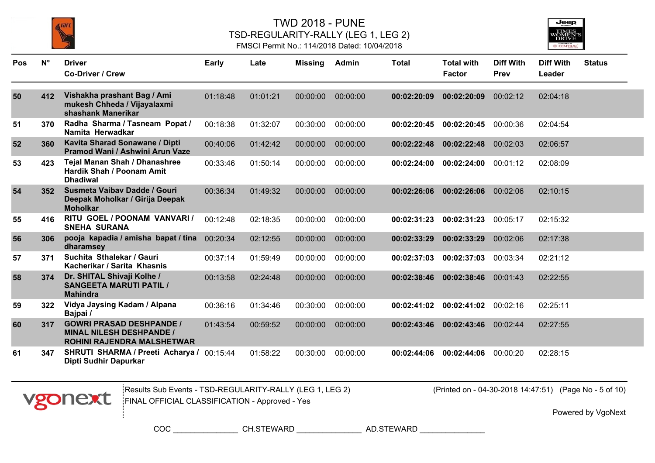



| Pos | $N^{\circ}$ | <b>Driver</b>                                                                                           | Early    | Late     | <b>Missing</b> | Admin    | <b>Total</b> | <b>Total with</b> | <b>Diff With</b> | <b>Diff With</b> | <b>Status</b> |
|-----|-------------|---------------------------------------------------------------------------------------------------------|----------|----------|----------------|----------|--------------|-------------------|------------------|------------------|---------------|
|     |             | <b>Co-Driver / Crew</b>                                                                                 |          |          |                |          |              | <b>Factor</b>     | Prev             | Leader           |               |
| 50  | 412         | Vishakha prashant Bag / Ami<br>mukesh Chheda / Vijayalaxmi<br>shashank Manerikar                        | 01:18:48 | 01:01:21 | 00:00:00       | 00:00:00 | 00:02:20:09  | 00:02:20:09       | 00:02:12         | 02:04:18         |               |
| 51  | 370         | Radha Sharma / Tasneam Popat /<br>Namita Herwadkar                                                      | 00:18:38 | 01:32:07 | 00:30:00       | 00:00:00 | 00:02:20:45  | 00:02:20:45       | 00:00:36         | 02:04:54         |               |
| 52  | 360         | Kavita Sharad Sonawane / Dipti<br>Pramod Wani / Ashwini Arun Vaze                                       | 00:40:06 | 01:42:42 | 00:00:00       | 00:00:00 | 00:02:22:48  | 00:02:22:48       | 00:02:03         | 02:06:57         |               |
| 53  | 423         | <b>Tejal Manan Shah / Dhanashree</b><br>Hardik Shah / Poonam Amit<br><b>Dhadiwal</b>                    | 00:33:46 | 01:50:14 | 00:00:00       | 00:00:00 | 00:02:24:00  | 00:02:24:00       | 00:01:12         | 02:08:09         |               |
| 54  | 352         | Susmeta Vaibav Dadde / Gouri<br>Deepak Moholkar / Girija Deepak<br><b>Moholkar</b>                      | 00:36:34 | 01:49:32 | 00:00:00       | 00:00:00 | 00:02:26:06  | 00:02:26:06       | 00:02:06         | 02:10:15         |               |
| 55  | 416         | RITU GOEL / POONAM VANVARI /<br><b>SNEHA SURANA</b>                                                     | 00:12:48 | 02:18:35 | 00:00:00       | 00:00:00 | 00:02:31:23  | 00:02:31:23       | 00:05:17         | 02:15:32         |               |
| 56  | 306         | pooja kapadia / amisha bapat / tina<br>dharamsey                                                        | 00:20:34 | 02:12:55 | 00:00:00       | 00:00:00 | 00:02:33:29  | 00:02:33:29       | 00:02:06         | 02:17:38         |               |
| 57  | 371         | Suchita Sthalekar / Gauri<br>Kacherikar / Sarita Khasnis                                                | 00:37:14 | 01:59:49 | 00:00:00       | 00:00:00 | 00:02:37:03  | 00:02:37:03       | 00:03:34         | 02:21:12         |               |
| 58  | 374         | Dr. SHITAL Shivaji Kolhe /<br><b>SANGEETA MARUTI PATIL /</b><br><b>Mahindra</b>                         | 00:13:58 | 02:24:48 | 00:00:00       | 00:00:00 | 00:02:38:46  | 00:02:38:46       | 00:01:43         | 02:22:55         |               |
| 59  | 322         | Vidya Jaysing Kadam / Alpana<br>Bajpai /                                                                | 00:36:16 | 01:34:46 | 00:30:00       | 00:00:00 | 00:02:41:02  | 00:02:41:02       | 00:02:16         | 02:25:11         |               |
| 60  | 317         | <b>GOWRI PRASAD DESHPANDE /</b><br><b>MINAL NILESH DESHPANDE /</b><br><b>ROHINI RAJENDRA MALSHETWAR</b> | 01:43:54 | 00:59:52 | 00:00:00       | 00:00:00 | 00:02:43:46  | 00:02:43:46       | 00:02:44         | 02:27:55         |               |
| 61  | 347         | SHRUTI SHARMA / Preeti Acharya / 00:15:44<br>Dipti Sudhir Dapurkar                                      |          | 01:58:22 | 00:30:00       | 00:00:00 | 00:02:44:06  | 00:02:44:06       | 00:00:20         | 02:28:15         |               |



Results Sub Events - TSD-REGULARITY-RALLY (LEG 1, LEG 2) (Printed on - 04-30-2018 14:47:51) FINAL OFFICIAL CLASSIFICATION - Approved - Yes

(Printed on - 04-30-2018 14:47:51) (Page No - 5 of 10)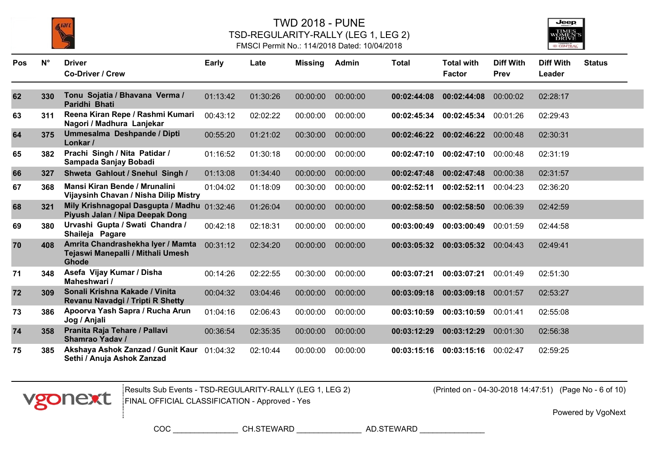



| <b>Pos</b> | $N^{\circ}$ | <b>Driver</b><br><b>Co-Driver / Crew</b>                                               | <b>Early</b> | Late     | Missing  | Admin    | <b>Total</b> | <b>Total with</b><br><b>Factor</b> | <b>Diff With</b><br>Prev | <b>Diff With</b><br>Leader | <b>Status</b> |
|------------|-------------|----------------------------------------------------------------------------------------|--------------|----------|----------|----------|--------------|------------------------------------|--------------------------|----------------------------|---------------|
| 62         | 330         | Tonu Sojatia / Bhavana Verma /                                                         | 01:13:42     | 01:30:26 | 00:00:00 | 00:00:00 | 00:02:44:08  | 00:02:44:08                        | 00:00:02                 | 02:28:17                   |               |
|            |             | Paridhi Bhati                                                                          |              |          |          |          |              |                                    |                          |                            |               |
| 63         | 311         | Reena Kiran Repe / Rashmi Kumari<br>Nagori / Madhura Lanjekar                          | 00:43:12     | 02:02:22 | 00:00:00 | 00:00:00 | 00:02:45:34  | 00:02:45:34                        | 00:01:26                 | 02:29:43                   |               |
| 64         | 375         | Ummesalma Deshpande / Dipti<br>Lonkar /                                                | 00:55:20     | 01:21:02 | 00:30:00 | 00:00:00 | 00:02:46:22  | 00:02:46:22                        | 00:00:48                 | 02:30:31                   |               |
| 65         | 382         | Prachi Singh / Nita Patidar /<br>Sampada Sanjay Bobadi                                 | 01:16:52     | 01:30:18 | 00:00:00 | 00:00:00 | 00:02:47:10  | 00:02:47:10                        | 00:00:48                 | 02:31:19                   |               |
| 66         | 327         | Shweta Gahlout / Snehul Singh /                                                        | 01:13:08     | 01:34:40 | 00:00:00 | 00:00:00 | 00:02:47:48  | 00:02:47:48                        | 00:00:38                 | 02:31:57                   |               |
| 67         | 368         | Mansi Kiran Bende / Mrunalini<br>Vijaysinh Chavan / Nisha Dilip Mistry                 | 01:04:02     | 01:18:09 | 00:30:00 | 00:00:00 | 00:02:52:11  | 00:02:52:11                        | 00:04:23                 | 02:36:20                   |               |
| 68         | 321         | Mily Krishnagopal Dasgupta / Madhu 01:32:46<br>Piyush Jalan / Nipa Deepak Dong         |              | 01:26:04 | 00:00:00 | 00:00:00 | 00:02:58:50  | 00:02:58:50                        | 00:06:39                 | 02:42:59                   |               |
| 69         | 380         | Urvashi Gupta / Swati Chandra /<br>Shaileja Pagare                                     | 00:42:18     | 02:18:31 | 00:00:00 | 00:00:00 | 00:03:00:49  | 00:03:00:49                        | 00:01:59                 | 02:44:58                   |               |
| 70         | 408         | Amrita Chandrashekha Iyer / Mamta<br>Tejaswi Manepalli / Mithali Umesh<br><b>Ghode</b> | 00:31:12     | 02:34:20 | 00:00:00 | 00:00:00 | 00:03:05:32  | 00:03:05:32                        | 00:04:43                 | 02:49:41                   |               |
| 71         | 348         | Asefa Vijay Kumar / Disha<br>Maheshwari /                                              | 00:14:26     | 02:22:55 | 00:30:00 | 00:00:00 | 00:03:07:21  | 00:03:07:21                        | 00:01:49                 | 02:51:30                   |               |
| 72         | 309         | Sonali Krishna Kakade / Vinita<br>Revanu Navadgi / Tripti R Shetty                     | 00:04:32     | 03:04:46 | 00:00:00 | 00:00:00 | 00:03:09:18  | 00:03:09:18                        | 00:01:57                 | 02:53:27                   |               |
| 73         | 386         | Apoorva Yash Sapra / Rucha Arun<br>Jog / Anjali                                        | 01:04:16     | 02:06:43 | 00:00:00 | 00:00:00 | 00:03:10:59  | 00:03:10:59                        | 00:01:41                 | 02:55:08                   |               |
| 74         | 358         | Pranita Raja Tehare / Pallavi<br><b>Shamrao Yadav /</b>                                | 00:36:54     | 02:35:35 | 00:00:00 | 00:00:00 | 00:03:12:29  | 00:03:12:29                        | 00:01:30                 | 02:56:38                   |               |
| 75         | 385         | Akshaya Ashok Zanzad / Gunit Kaur<br>Sethi / Anuja Ashok Zanzad                        | 01:04:32     | 02:10:44 | 00:00:00 | 00:00:00 | 00:03:15:16  | 00:03:15:16                        | 00:02:47                 | 02:59:25                   |               |



Results Sub Events - TSD-REGULARITY-RALLY (LEG 1, LEG 2) (Printed on - 04-30-2018 14:47:51) FINAL OFFICIAL CLASSIFICATION - Approved - Yes

(Printed on - 04-30-2018 14:47:51) (Page No - 6 of 10)

Powered by VgoNext

COC \_\_\_\_\_\_\_\_\_\_\_\_\_\_\_ CH.STEWARD \_\_\_\_\_\_\_\_\_\_\_\_\_\_\_ AD.STEWARD \_\_\_\_\_\_\_\_\_\_\_\_\_\_\_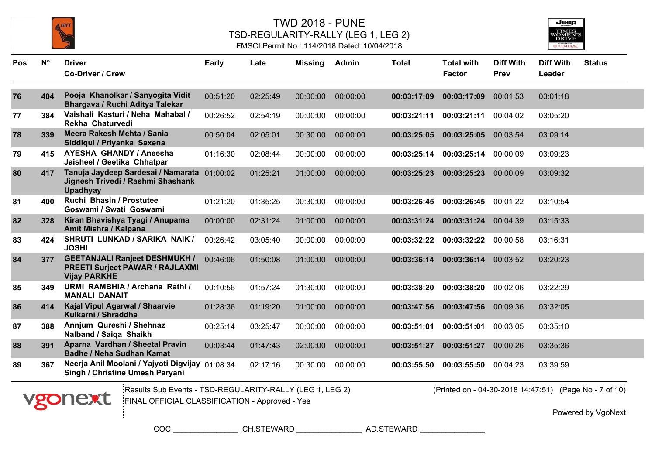



| Pos | $N^{\circ}$ | <b>Driver</b><br><b>Co-Driver / Crew</b>                                                              | Early    | Late     | <b>Missing</b> | Admin    | <b>Total</b> | <b>Total with</b><br><b>Factor</b> | <b>Diff With</b><br>Prev | <b>Diff With</b><br>Leader | <b>Status</b> |
|-----|-------------|-------------------------------------------------------------------------------------------------------|----------|----------|----------------|----------|--------------|------------------------------------|--------------------------|----------------------------|---------------|
| 76  | 404         | Pooja Khanolkar / Sanyogita Vidit<br>Bhargava / Ruchi Aditya Talekar                                  | 00:51:20 | 02:25:49 | 00:00:00       | 00:00:00 | 00:03:17:09  | 00:03:17:09                        | 00:01:53                 | 03:01:18                   |               |
| 77  | 384         | Vaishali Kasturi / Neha Mahabal /<br>Rekha Chaturvedi                                                 | 00:26:52 | 02:54:19 | 00:00:00       | 00:00:00 | 00:03:21:11  | 00:03:21:11                        | 00:04:02                 | 03:05:20                   |               |
| 78  | 339         | Meera Rakesh Mehta / Sania<br>Siddiqui / Priyanka Saxena                                              | 00:50:04 | 02:05:01 | 00:30:00       | 00:00:00 | 00:03:25:05  | 00:03:25:05                        | 00:03:54                 | 03:09:14                   |               |
| 79  | 415         | AYESHA GHANDY / Aneesha<br>Jaisheel / Geetika Chhatpar                                                | 01:16:30 | 02:08:44 | 00:00:00       | 00:00:00 | 00:03:25:14  | 00:03:25:14                        | 00:00:09                 | 03:09:23                   |               |
| 80  | 417         | Tanuja Jaydeep Sardesai / Namarata 01:00:02<br>Jignesh Trivedi / Rashmi Shashank<br><b>Upadhyay</b>   |          | 01:25:21 | 01:00:00       | 00:00:00 | 00:03:25:23  | 00:03:25:23                        | 00:00:09                 | 03:09:32                   |               |
| 81  | 400         | Ruchi Bhasin / Prostutee<br>Goswami / Swati Goswami                                                   | 01:21:20 | 01:35:25 | 00:30:00       | 00:00:00 | 00:03:26:45  | 00:03:26:45                        | 00:01:22                 | 03:10:54                   |               |
| 82  | 328         | Kiran Bhavishya Tyagi / Anupama<br>Amit Mishra / Kalpana                                              | 00:00:00 | 02:31:24 | 01:00:00       | 00:00:00 | 00:03:31:24  | 00:03:31:24                        | 00:04:39                 | 03:15:33                   |               |
| 83  | 424         | SHRUTI LUNKAD / SARIKA NAIK /<br><b>JOSHI</b>                                                         | 00:26:42 | 03:05:40 | 00:00:00       | 00:00:00 | 00:03:32:22  | 00:03:32:22                        | 00:00:58                 | 03:16:31                   |               |
| 84  | 377         | <b>GEETANJALI Ranjeet DESHMUKH /</b><br><b>PREETI Surjeet PAWAR / RAJLAXMI</b><br><b>Vijay PARKHE</b> | 00:46:06 | 01:50:08 | 01:00:00       | 00:00:00 | 00:03:36:14  | 00:03:36:14                        | 00:03:52                 | 03:20:23                   |               |
| 85  | 349         | URMI RAMBHIA / Archana Rathi /<br><b>MANALI DANAIT</b>                                                | 00:10:56 | 01:57:24 | 01:30:00       | 00:00:00 | 00:03:38:20  | 00:03:38:20                        | 00:02:06                 | 03:22:29                   |               |
| 86  | 414         | Kajal Vipul Agarwal / Shaarvie<br>Kulkarni / Shraddha                                                 | 01:28:36 | 01:19:20 | 01:00:00       | 00:00:00 | 00:03:47:56  | 00:03:47:56                        | 00:09:36                 | 03:32:05                   |               |
| 87  | 388         | Annjum Qureshi / Shehnaz<br>Nalband / Saiqa Shaikh                                                    | 00:25:14 | 03:25:47 | 00:00:00       | 00:00:00 | 00:03:51:01  | 00:03:51:01                        | 00:03:05                 | 03:35:10                   |               |
| 88  | 391         | Aparna Vardhan / Sheetal Pravin<br><b>Badhe / Neha Sudhan Kamat</b>                                   | 00:03:44 | 01:47:43 | 02:00:00       | 00:00:00 | 00:03:51:27  | 00:03:51:27                        | 00:00:26                 | 03:35:36                   |               |
| 89  | 367         | Neerja Anil Moolani / Yajyoti Digvijay 01:08:34<br>Singh / Christine Umesh Paryani                    |          | 02:17:16 | 00:30:00       | 00:00:00 | 00:03:55:50  | 00:03:55:50                        | 00:04:23                 | 03:39:59                   |               |



Results Sub Events - TSD-REGULARITY-RALLY (LEG 1, LEG 2) (Printed on - 04-30-2018 14:47:51) FINAL OFFICIAL CLASSIFICATION - Approved - Yes

(Printed on - 04-30-2018 14:47:51) (Page No - 7 of 10)

Powered by VgoNext

COC \_\_\_\_\_\_\_\_\_\_\_\_\_\_\_\_\_\_\_ CH.STEWARD \_\_\_\_\_\_\_\_\_\_\_\_\_\_\_\_\_\_\_ AD.STEWARD \_\_\_\_\_\_\_\_\_\_\_\_\_\_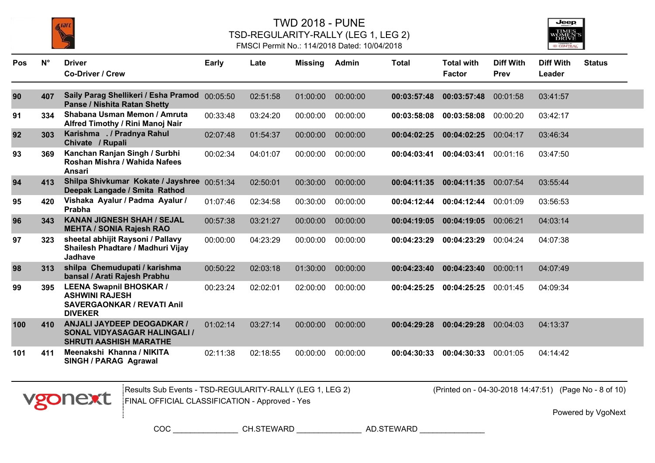



| Pos | $N^{\circ}$ | <b>Driver</b><br><b>Co-Driver / Crew</b>                                                                       | <b>Early</b> | Late     | <b>Missing</b> | Admin    | <b>Total</b> | <b>Total with</b><br><b>Factor</b> | <b>Diff With</b><br><b>Prev</b> | <b>Diff With</b><br>Leader | <b>Status</b> |
|-----|-------------|----------------------------------------------------------------------------------------------------------------|--------------|----------|----------------|----------|--------------|------------------------------------|---------------------------------|----------------------------|---------------|
|     |             |                                                                                                                |              |          |                |          |              |                                    |                                 |                            |               |
| 90  | 407         | Saily Parag Shellikeri / Esha Pramod<br><b>Panse / Nishita Ratan Shetty</b>                                    | 00:05:50     | 02:51:58 | 01:00:00       | 00:00:00 | 00:03:57:48  | 00:03:57:48                        | 00:01:58                        | 03:41:57                   |               |
| 91  | 334         | Shabana Usman Memon / Amruta<br>Alfred Timothy / Rini Manoj Nair                                               | 00:33:48     | 03:24:20 | 00:00:00       | 00:00:00 | 00:03:58:08  | 00:03:58:08                        | 00:00:20                        | 03:42:17                   |               |
| 92  | 303         | Karishma . / Pradnya Rahul<br>Chivate / Rupali                                                                 | 02:07:48     | 01:54:37 | 00:00:00       | 00:00:00 | 00:04:02:25  | 00:04:02:25                        | 00:04:17                        | 03:46:34                   |               |
| 93  | 369         | Kanchan Ranjan Singh / Surbhi<br>Roshan Mishra / Wahida Nafees<br>Ansari                                       | 00:02:34     | 04:01:07 | 00:00:00       | 00:00:00 | 00:04:03:41  | 00:04:03:41                        | 00:01:16                        | 03:47:50                   |               |
| 94  | 413         | Shilpa Shivkumar Kokate / Jayshree 00:51:34<br>Deepak Langade / Smita Rathod                                   |              | 02:50:01 | 00:30:00       | 00:00:00 | 00:04:11:35  | 00:04:11:35                        | 00:07:54                        | 03:55:44                   |               |
| 95  | 420         | Vishaka Ayalur / Padma Ayalur /<br>Prabha                                                                      | 01:07:46     | 02:34:58 | 00:30:00       | 00:00:00 | 00:04:12:44  | 00:04:12:44                        | 00:01:09                        | 03:56:53                   |               |
| 96  | 343         | <b>KANAN JIGNESH SHAH / SEJAL</b><br><b>MEHTA / SONIA Rajesh RAO</b>                                           | 00:57:38     | 03:21:27 | 00:00:00       | 00:00:00 | 00:04:19:05  | 00:04:19:05                        | 00:06:21                        | 04:03:14                   |               |
| 97  | 323         | sheetal abhijit Raysoni / Pallavy<br>Shailesh Phadtare / Madhuri Vijay<br>Jadhave                              | 00:00:00     | 04:23:29 | 00:00:00       | 00:00:00 | 00:04:23:29  | 00:04:23:29                        | 00:04:24                        | 04:07:38                   |               |
| 98  | 313         | shilpa Chemudupati / karishma<br>bansal / Arati Rajesh Prabhu                                                  | 00:50:22     | 02:03:18 | 01:30:00       | 00:00:00 | 00:04:23:40  | 00:04:23:40                        | 00:00:11                        | 04:07:49                   |               |
| 99  | 395         | <b>LEENA Swapnil BHOSKAR /</b><br><b>ASHWINI RAJESH</b><br><b>SAVERGAONKAR / REVATI Anil</b><br><b>DIVEKER</b> | 00:23:24     | 02:02:01 | 02:00:00       | 00:00:00 | 00:04:25:25  | 00:04:25:25                        | 00:01:45                        | 04:09:34                   |               |
| 100 | 410         | ANJALI JAYDEEP DEOGADKAR /<br><b>SONAL VIDYASAGAR HALINGALI /</b><br><b>SHRUTI AASHISH MARATHE</b>             | 01:02:14     | 03:27:14 | 00:00:00       | 00:00:00 | 00:04:29:28  | 00:04:29:28                        | 00:04:03                        | 04:13:37                   |               |
| 101 | 411         | Meenakshi Khanna / NIKITA<br>SINGH / PARAG Agrawal                                                             | 02:11:38     | 02:18:55 | 00:00:00       | 00:00:00 | 00:04:30:33  | 00:04:30:33                        | 00:01:05                        | 04:14:42                   |               |



Results Sub Events - TSD-REGULARITY-RALLY (LEG 1, LEG 2) (Printed on - 04-30-2018 14:47:51) FINAL OFFICIAL CLASSIFICATION - Approved - Yes

(Printed on - 04-30-2018 14:47:51) (Page No - 8 of 10)

| COC | CH.STEWARD | AD.STEWARD |  |
|-----|------------|------------|--|
|     |            |            |  |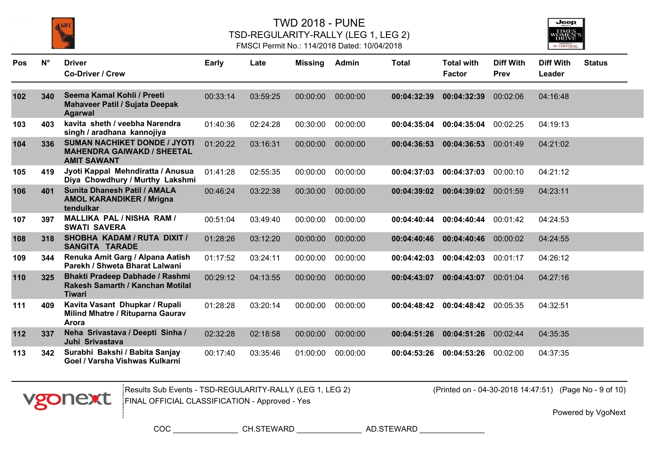



| Pos | $N^{\circ}$ | <b>Driver</b>                                                                                  | Early    | Late     | <b>Missing</b> | Admin    | <b>Total</b> | <b>Total with</b> | <b>Diff With</b> | <b>Diff With</b> | <b>Status</b> |
|-----|-------------|------------------------------------------------------------------------------------------------|----------|----------|----------------|----------|--------------|-------------------|------------------|------------------|---------------|
|     |             | <b>Co-Driver / Crew</b>                                                                        |          |          |                |          |              | <b>Factor</b>     | Prev             | Leader           |               |
| 102 | 340         | Seema Kamal Kohli / Preeti<br><b>Mahaveer Patil / Sujata Deepak</b><br><b>Agarwal</b>          | 00:33:14 | 03:59:25 | 00:00:00       | 00:00:00 | 00:04:32:39  | 00:04:32:39       | 00:02:06         | 04:16:48         |               |
| 103 | 403         | kavita sheth / veebha Narendra<br>singh / aradhana kannojiya                                   | 01:40:36 | 02:24:28 | 00:30:00       | 00:00:00 | 00:04:35:04  | 00:04:35:04       | 00:02:25         | 04:19:13         |               |
| 104 | 336         | <b>SUMAN NACHIKET DONDE / JYOTI</b><br><b>MAHENDRA GAIWAKD / SHEETAL</b><br><b>AMIT SAWANT</b> | 01:20:22 | 03:16:31 | 00:00:00       | 00:00:00 | 00:04:36:53  | 00:04:36:53       | 00:01:49         | 04:21:02         |               |
| 105 | 419         | Jyoti Kappal Mehndiratta / Anusua<br>Diya Chowdhury / Murthy Lakshmi                           | 01:41:28 | 02:55:35 | 00:00:00       | 00:00:00 | 00:04:37:03  | 00:04:37:03       | 00:00:10         | 04:21:12         |               |
| 106 | 401         | <b>Sunita Dhanesh Patil / AMALA</b><br><b>AMOL KARANDIKER / Mrigna</b><br>tendulkar            | 00:46:24 | 03:22:38 | 00:30:00       | 00:00:00 | 00:04:39:02  | 00:04:39:02       | 00:01:59         | 04:23:11         |               |
| 107 | 397         | <b>MALLIKA PAL / NISHA RAM /</b><br><b>SWATI SAVERA</b>                                        | 00:51:04 | 03:49:40 | 00:00:00       | 00:00:00 | 00:04:40:44  | 00:04:40:44       | 00:01:42         | 04:24:53         |               |
| 108 | 318         | SHOBHA KADAM / RUTA DIXIT /<br><b>SANGITA TARADE</b>                                           | 01:28:26 | 03:12:20 | 00:00:00       | 00:00:00 | 00:04:40:46  | 00:04:40:46       | 00:00:02         | 04:24:55         |               |
| 109 | 344         | Renuka Amit Garg / Alpana Aatish<br>Parekh / Shweta Bharat Lalwani                             | 01:17:52 | 03:24:11 | 00:00:00       | 00:00:00 | 00:04:42:03  | 00:04:42:03       | 00:01:17         | 04:26:12         |               |
| 110 | 325         | Bhakti Pradeep Dabhade / Rashmi<br>Rakesh Samarth / Kanchan Motilal<br><b>Tiwari</b>           | 00:29:12 | 04:13:55 | 00:00:00       | 00:00:00 | 00:04:43:07  | 00:04:43:07       | 00:01:04         | 04:27:16         |               |
| 111 | 409         | Kavita Vasant Dhupkar / Rupali<br><b>Milind Mhatre / Rituparna Gaurav</b><br>Arora             | 01:28:28 | 03:20:14 | 00:00:00       | 00:00:00 | 00:04:48:42  | 00:04:48:42       | 00:05:35         | 04:32:51         |               |
| 112 | 337         | Neha Srivastava / Deepti Sinha /<br>Juhi Srivastava                                            | 02:32:28 | 02:18:58 | 00:00:00       | 00:00:00 | 00:04:51:26  | 00:04:51:26       | 00:02:44         | 04:35:35         |               |
| 113 | 342         | Surabhi Bakshi / Babita Sanjay<br>Goel / Varsha Vishwas Kulkarni                               | 00:17:40 | 03:35:46 | 01:00:00       | 00:00:00 | 00:04:53:26  | 00:04:53:26       | 00:02:00         | 04:37:35         |               |



Results Sub Events - TSD-REGULARITY-RALLY (LEG 1, LEG 2) (Printed on - 04-30-2018 14:47:51) FINAL OFFICIAL CLASSIFICATION - Approved - Yes

(Printed on - 04-30-2018 14:47:51) (Page No - 9 of 10)